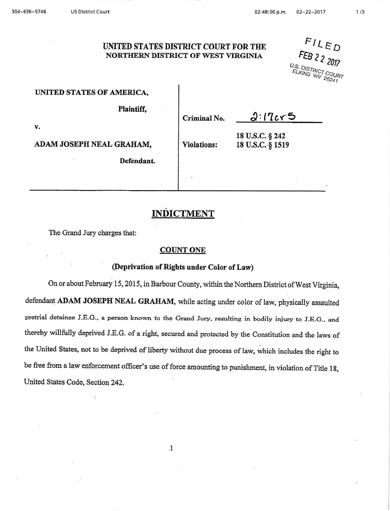## UNITED STATES DISTRICT COURT FOR THE NORTHERN DISTRICT OF WEST VIRGINIA

 $FILED$ FEB 2 2 2017 U.S. DISTRICT CHELKING WY

### UNITED STATES OF AMERICA.

Plaintiff,

**Defendant.** 

**Criminal No.** 

 $2.17c<sub>5</sub>$ 

**v.** 

**ADAM JOSEPH NEAL GRAHAM, SPINDING:** Violations:

**18 u.s.c.** § **242** 

# **INDICTMENT**

The Grand Jury charges that:

### **COUNT ONE**

### (Deprivation of Rights under Color of Law)

On or about February 15, 2015, in Barbour County, within the Northern District of West Virginia, defendant **ADAM JOSEPH NEAL GRAHAM,** while acting under color of law, physically assaulted pretrial detainee J.E.G., a person known to the Grand Jury, resulting in bodily injury to J.E.G., and thereby willfully deprived J.E.G. of a right, secured and protected by the Constitution and the laws of the United States, not to be deprived of liberty without due process of law, which includes the right to be free from a law enforcement officer's use of force amounting to punishment, in violation of Title 18, United States Code, Section 242.

.1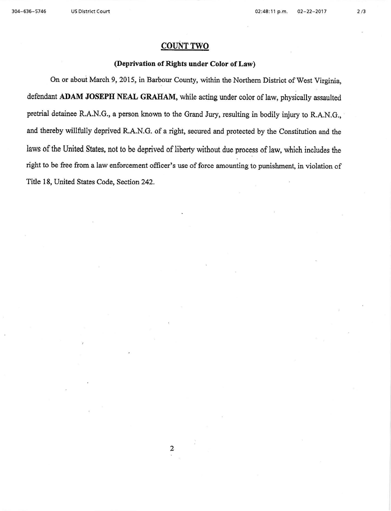# **COUNT TWO**

#### (Deprivation of Rights under Color of Law)

On or about March 9, 2015, in Barbour County, within the Northern District of West Virginia, defendant **ADAM JOSEPH NEAL GRAHAM,** while acting under color of law, physically assaulted pretrial detainee R.A.N.G., a person known to the Grand Jury, resulting in bodily injury to R.A.N.G., and thereby willfully deprived R.A.N.G. of a right, secured and protected by the Constitution and the laws of the United States, not to be deprived of liberty without due process of law, which includes the right to be free from a law enforcement officer's use of force amounting to punishment, in violation of Title 18, United States Code, Section 242.